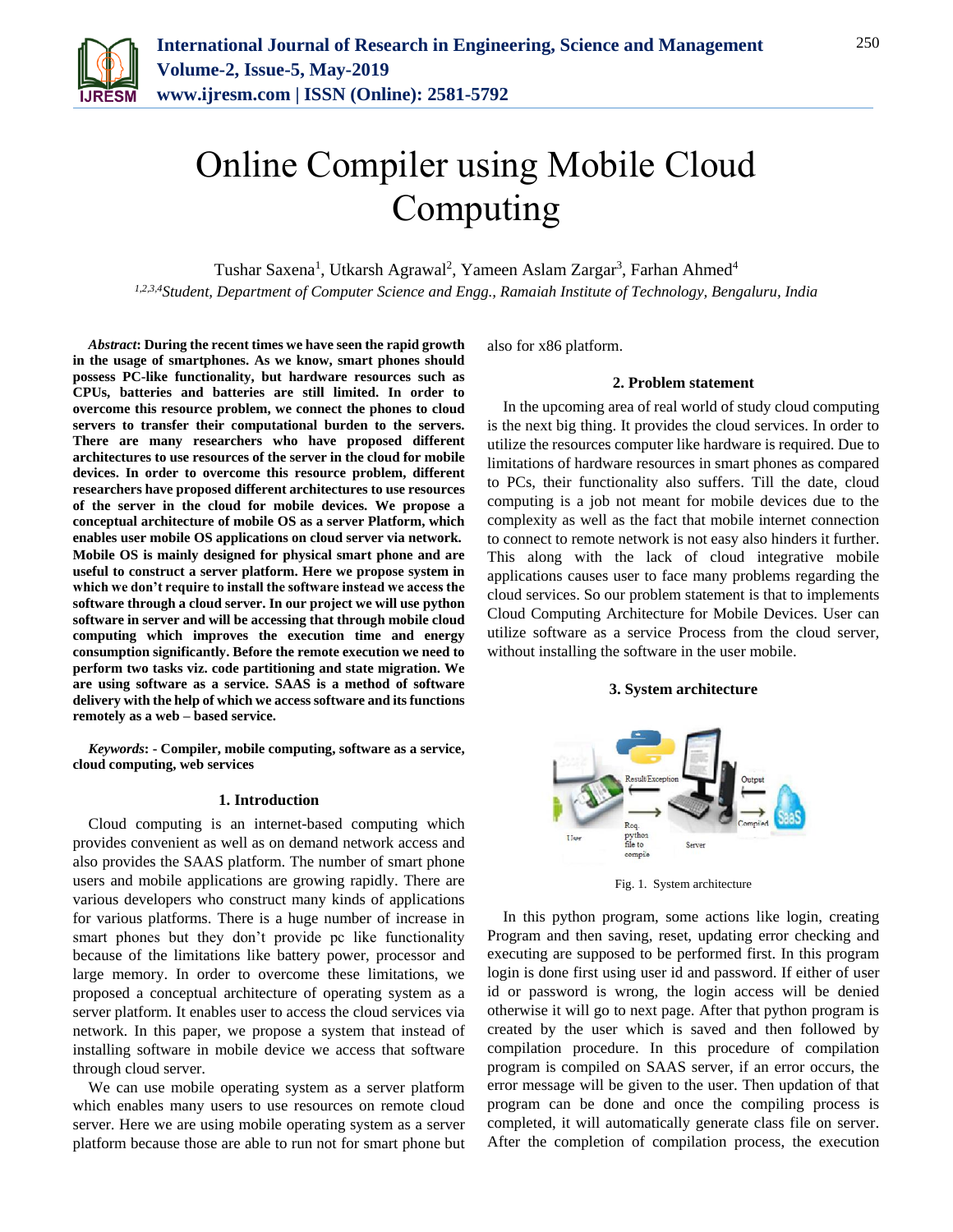

# Online Compiler using Mobile Cloud Computing

Tushar Saxena<sup>1</sup>, Utkarsh Agrawal<sup>2</sup>, Yameen Aslam Zargar<sup>3</sup>, Farhan Ahmed<sup>4</sup> *1,2,3,4Student, Department of Computer Science and Engg., Ramaiah Institute of Technology, Bengaluru, India*

*Abstract***: During the recent times we have seen the rapid growth in the usage of smartphones. As we know, smart phones should possess PC-like functionality, but hardware resources such as CPUs, batteries and batteries are still limited. In order to overcome this resource problem, we connect the phones to cloud servers to transfer their computational burden to the servers. There are many researchers who have proposed different architectures to use resources of the server in the cloud for mobile devices. In order to overcome this resource problem, different researchers have proposed different architectures to use resources of the server in the cloud for mobile devices. We propose a conceptual architecture of mobile OS as a server Platform, which enables user mobile OS applications on cloud server via network. Mobile OS is mainly designed for physical smart phone and are useful to construct a server platform. Here we propose system in which we don't require to install the software instead we access the software through a cloud server. In our project we will use python software in server and will be accessing that through mobile cloud computing which improves the execution time and energy consumption significantly. Before the remote execution we need to perform two tasks viz. code partitioning and state migration. We are using software as a service. SAAS is a method of software delivery with the help of which we access software and its functions remotely as a web – based service.**

*Keywords***: - Compiler, mobile computing, software as a service, cloud computing, web services**

#### **1. Introduction**

Cloud computing is an internet-based computing which provides convenient as well as on demand network access and also provides the SAAS platform. The number of smart phone users and mobile applications are growing rapidly. There are various developers who construct many kinds of applications for various platforms. There is a huge number of increase in smart phones but they don't provide pc like functionality because of the limitations like battery power, processor and large memory. In order to overcome these limitations, we proposed a conceptual architecture of operating system as a server platform. It enables user to access the cloud services via network. In this paper, we propose a system that instead of installing software in mobile device we access that software through cloud server.

We can use mobile operating system as a server platform which enables many users to use resources on remote cloud server. Here we are using mobile operating system as a server platform because those are able to run not for smart phone but

also for x86 platform.

# **2. Problem statement**

In the upcoming area of real world of study cloud computing is the next big thing. It provides the cloud services. In order to utilize the resources computer like hardware is required. Due to limitations of hardware resources in smart phones as compared to PCs, their functionality also suffers. Till the date, cloud computing is a job not meant for mobile devices due to the complexity as well as the fact that mobile internet connection to connect to remote network is not easy also hinders it further. This along with the lack of cloud integrative mobile applications causes user to face many problems regarding the cloud services. So our problem statement is that to implements Cloud Computing Architecture for Mobile Devices. User can utilize software as a service Process from the cloud server, without installing the software in the user mobile.

#### **3. System architecture**



Fig. 1. System architecture

In this python program, some actions like login, creating Program and then saving, reset, updating error checking and executing are supposed to be performed first. In this program login is done first using user id and password. If either of user id or password is wrong, the login access will be denied otherwise it will go to next page. After that python program is created by the user which is saved and then followed by compilation procedure. In this procedure of compilation program is compiled on SAAS server, if an error occurs, the error message will be given to the user. Then updation of that program can be done and once the compiling process is completed, it will automatically generate class file on server. After the completion of compilation process, the execution